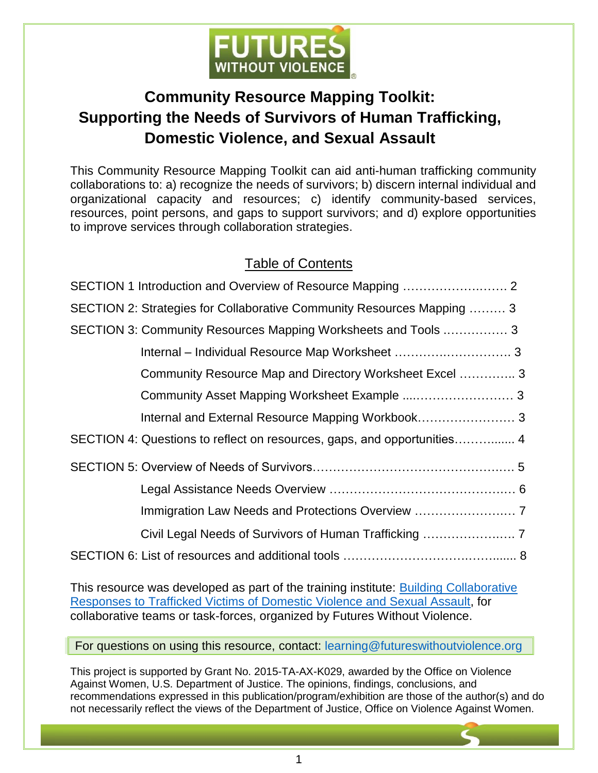

# **Community Resource Mapping Toolkit: Supporting the Needs of Survivors of Human Trafficking, Domestic Violence, and Sexual Assault**

This Community Resource Mapping Toolkit can aid anti-human trafficking community collaborations to: a) recognize the needs of survivors; b) discern internal individual and organizational capacity and resources; c) identify community-based services, resources, point persons, and gaps to support survivors; and d) explore opportunities to improve services through collaboration strategies.

# Table of Contents

| SECTION 2: Strategies for Collaborative Community Resources Mapping  3  |
|-------------------------------------------------------------------------|
| SECTION 3: Community Resources Mapping Worksheets and Tools  3          |
|                                                                         |
| Community Resource Map and Directory Worksheet Excel  3                 |
|                                                                         |
|                                                                         |
| SECTION 4: Questions to reflect on resources, gaps, and opportunities 4 |
|                                                                         |
|                                                                         |
|                                                                         |
|                                                                         |
|                                                                         |

This resource was developed as part of the training institute: [Building Collaborative](https://www.futureswithoutviolence.org/organizational-leadership-training/building-collaborative-responses-to-human-trafficking/)  [Responses to Trafficked Victims of Domestic Violence and Sexual Assault,](https://www.futureswithoutviolence.org/organizational-leadership-training/building-collaborative-responses-to-human-trafficking/) for collaborative teams or task-forces, organized by Futures Without Violence.

For questions on using this resource, contact: learning@futureswithoutviolence.org

This project is supported by Grant No. 2015-TA-AX-K029, awarded by the Office on Violence Against Women, U.S. Department of Justice. The opinions, findings, conclusions, and recommendations expressed in this publication/program/exhibition are those of the author(s) and do not necessarily reflect the views of the Department of Justice, Office on Violence Against Women.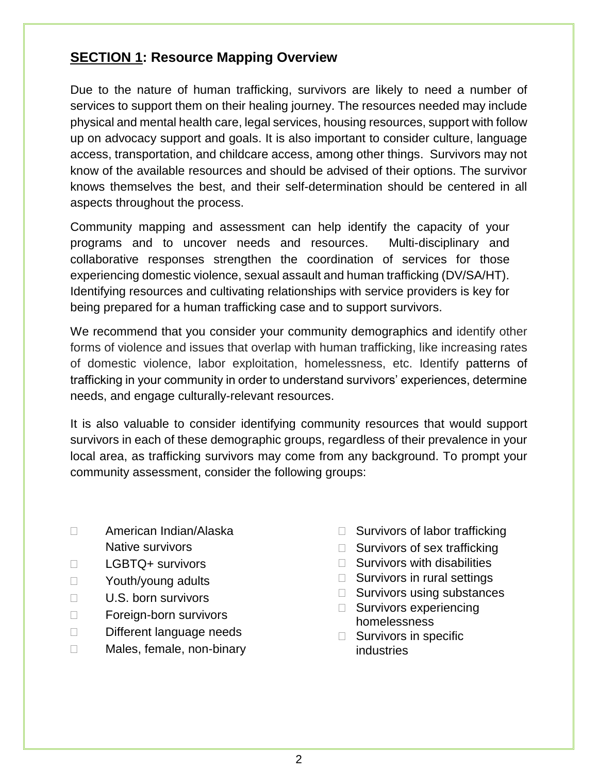### <span id="page-1-0"></span>**SECTION 1: Resource Mapping Overview**

Due to the nature of human trafficking, survivors are likely to need a number of services to support them on their healing journey. The resources needed may include physical and mental health care, legal services, housing resources, support with follow up on advocacy support and goals. It is also important to consider culture, language access, transportation, and childcare access, among other things. Survivors may not know of the available resources and should be advised of their options. The survivor knows themselves the best, and their self-determination should be centered in all aspects throughout the process.

Community mapping and assessment can help identify the capacity of your programs and to uncover needs and resources. Multi-disciplinary and collaborative responses strengthen the coordination of services for those experiencing domestic violence, sexual assault and human trafficking (DV/SA/HT). Identifying resources and cultivating relationships with service providers is key for being prepared for a human trafficking case and to support survivors.

We recommend that you consider your community demographics and identify other forms of violence and issues that overlap with human trafficking, like increasing rates of domestic violence, labor exploitation, homelessness, etc. Identify patterns of trafficking in your community in order to understand survivors' experiences, determine needs, and engage culturally-relevant resources.

It is also valuable to consider identifying community resources that would support survivors in each of these demographic groups, regardless of their prevalence in your local area, as trafficking survivors may come from any background. To prompt your community assessment, consider the following groups:

- American Indian/Alaska Native survivors
- LGBTQ+ survivors
- □ Youth/young adults
- $\Box$  U.S. born survivors
- □ Foreign-born survivors
- Different language needs
- □ Males, female, non-binary
- $\Box$  Survivors of labor trafficking
- $\Box$  Survivors of sex trafficking
- $\Box$  Survivors with disabilities
- $\Box$  Survivors in rural settings
- □ Survivors using substances
- □ Survivors experiencing homelessness
- $\Box$  Survivors in specific industries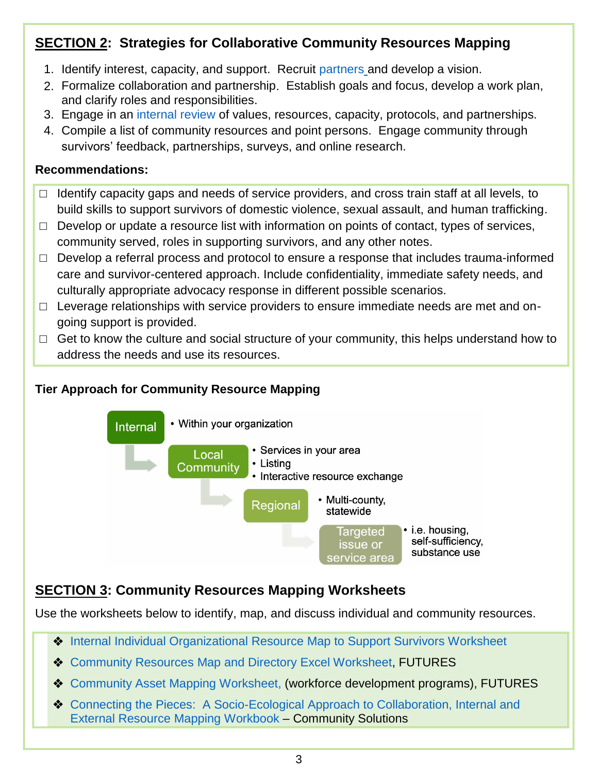# <span id="page-2-0"></span>**SECTION 2: Strategies for Collaborative Community Resources Mapping**

- 1. Identify interest, capacity, and support. Recruit [partners](https://www.advocacyandcommunication.org/wp-content/uploads/2018/04/ACS_Network_Mapping.pdf) and develop a vision.
- 2. Formalize collaboration and partnership. Establish goals and focus, develop a work plan, and clarify roles and responsibilities.
- 3. Engage in an [internal review o](https://www.futureswithoutviolence.org/wp-content/uploads/Internal-Resource-Mapping-to-Support-Survivors-Worksheet-Fillable.pdf)f values, resources, capacity, protocols, and partnerships.
- 4. Compile a list of community resources and point persons. Engage community through survivors' feedback, partnerships, surveys, and online research.

#### **Recommendations:**

- $\Box$  Identify capacity gaps and needs of service providers, and cross train staff at all levels, to build skills to support survivors of domestic violence, sexual assault, and human trafficking.
- $\Box$  Develop or update a resource list with information on points of contact, types of services, community served, roles in supporting survivors, and any other notes.
- $\Box$  Develop a referral process and protocol to ensure a response that includes trauma-informed care and survivor-centered approach. Include confidentiality, immediate safety needs, and culturally appropriate advocacy response in different possible scenarios.
- □ Leverage relationships with service providers to ensure immediate needs are met and ongoing support is provided.
- $\Box$  Get to know the culture and social structure of your community, this helps understand how to address the needs and use its resources.

#### **Tier Approach for Community Resource Mapping**



# **SECTION 3: Community Resources Mapping Worksheets**

Use the worksheets below to identify, map, and discuss individual and community resources.

- ◆ [Internal Individual Organizational Resource Map](https://www.futureswithoutviolence.org/wp-content/uploads/Internal-Resource-Mapping-to-Support-Survivors-Worksheet-Fillable.pdf) to Support Survivors Worksheet
- ◆ [Community Resources](https://www.futureswithoutviolence.org/wp-content/uploads/HT-Community-Resource-Mapping-and-Directory-Worksheet-FUTURES.xlsx) Map and Directory Excel Worksheet, FUTURES
- [Community Asset Mapping](https://www.futureswithoutviolence.org/wp-content/uploads/PRE-WORK-Community-Resource-Mapping-Tool.pdf) Worksheet, (workforce development programs), FUTURES
- [Connecting the Pieces: A Socio-Ecological Approach to Collaboration, Internal and](https://www.futureswithoutviolence.org/wp-content/uploads/HT-Community-Resource-Mapping-workbook-Final-01-2021-Community-Solutions-Web.pdf)  [External Resource Mapping](https://www.futureswithoutviolence.org/wp-content/uploads/HT-Community-Resource-Mapping-workbook-Final-01-2021-Community-Solutions-Web.pdf) Workbook – Community Solutions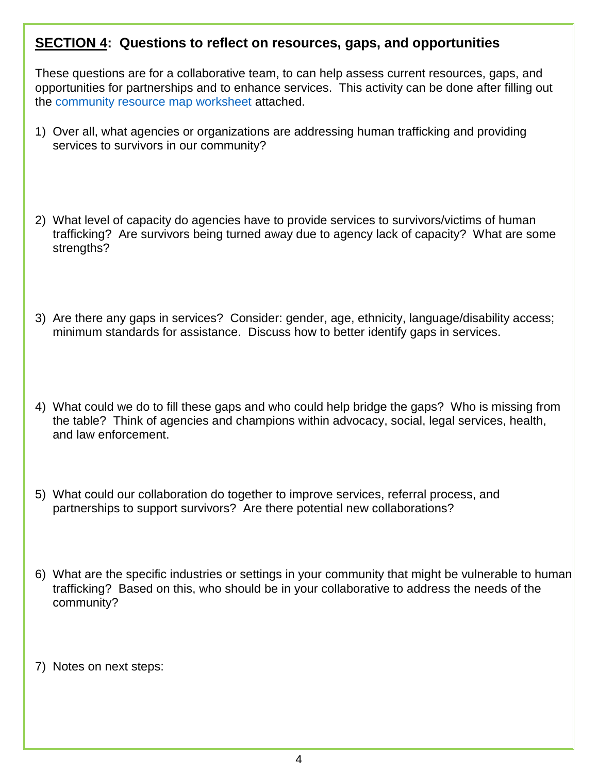#### <span id="page-3-0"></span>**SECTION 4: Questions to reflect on resources, gaps, and opportunities**

These questions are for a collaborative team, to can help assess current resources, gaps, and opportunities for partnerships and to enhance services. This activity can be done after filling out the [community resource map worksheet](https://www.futureswithoutviolence.org/wp-content/uploads/HT-Community-Resource-Mapping-and-Directory-Worksheet-FUTURES.xlsx) attached.

- 1) Over all, what agencies or organizations are addressing human trafficking and providing services to survivors in our community?
- 2) What level of capacity do agencies have to provide services to survivors/victims of human trafficking? Are survivors being turned away due to agency lack of capacity? What are some strengths?
- 3) Are there any gaps in services? Consider: gender, age, ethnicity, language/disability access; minimum standards for assistance. Discuss how to better identify gaps in services.
- 4) What could we do to fill these gaps and who could help bridge the gaps? Who is missing from the table? Think of agencies and champions within advocacy, social, legal services, health, and law enforcement.
- 5) What could our collaboration do together to improve services, referral process, and partnerships to support survivors? Are there potential new collaborations?
- 6) What are the specific industries or settings in your community that might be vulnerable to human trafficking? Based on this, who should be in your collaborative to address the needs of the community?
- 7) Notes on next steps: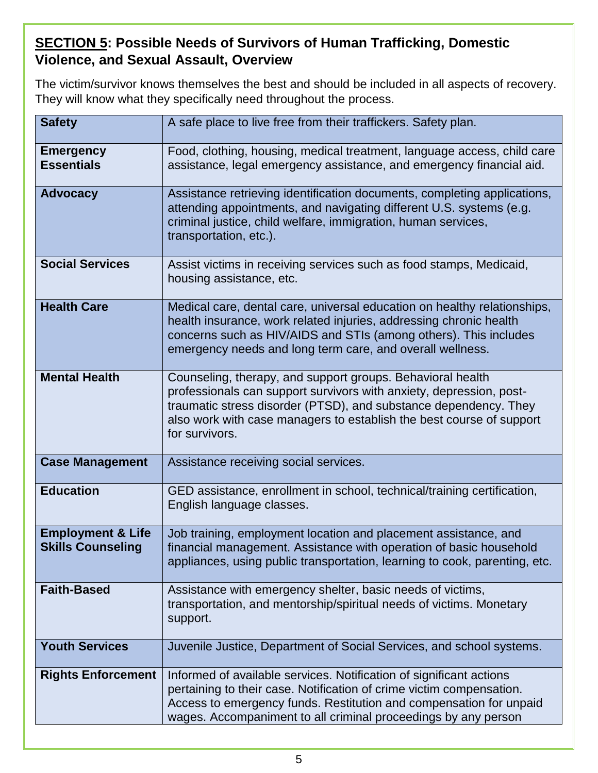# <span id="page-4-0"></span>**SECTION 5: Possible Needs of Survivors of Human Trafficking, Domestic Violence, and Sexual Assault, Overview**

The victim/survivor knows themselves the best and should be included in all aspects of recovery. They will know what they specifically need throughout the process.

| <b>Safety</b>                                            | A safe place to live free from their traffickers. Safety plan.                                                                                                                                                                                                                                  |
|----------------------------------------------------------|-------------------------------------------------------------------------------------------------------------------------------------------------------------------------------------------------------------------------------------------------------------------------------------------------|
| <b>Emergency</b><br><b>Essentials</b>                    | Food, clothing, housing, medical treatment, language access, child care<br>assistance, legal emergency assistance, and emergency financial aid.                                                                                                                                                 |
| <b>Advocacy</b>                                          | Assistance retrieving identification documents, completing applications,<br>attending appointments, and navigating different U.S. systems (e.g.<br>criminal justice, child welfare, immigration, human services,<br>transportation, etc.).                                                      |
| <b>Social Services</b>                                   | Assist victims in receiving services such as food stamps, Medicaid,<br>housing assistance, etc.                                                                                                                                                                                                 |
| <b>Health Care</b>                                       | Medical care, dental care, universal education on healthy relationships,<br>health insurance, work related injuries, addressing chronic health<br>concerns such as HIV/AIDS and STIs (among others). This includes<br>emergency needs and long term care, and overall wellness.                 |
| <b>Mental Health</b>                                     | Counseling, therapy, and support groups. Behavioral health<br>professionals can support survivors with anxiety, depression, post-<br>traumatic stress disorder (PTSD), and substance dependency. They<br>also work with case managers to establish the best course of support<br>for survivors. |
| <b>Case Management</b>                                   | Assistance receiving social services.                                                                                                                                                                                                                                                           |
| <b>Education</b>                                         | GED assistance, enrollment in school, technical/training certification,<br>English language classes.                                                                                                                                                                                            |
| <b>Employment &amp; Life</b><br><b>Skills Counseling</b> | Job training, employment location and placement assistance, and<br>financial management. Assistance with operation of basic household<br>appliances, using public transportation, learning to cook, parenting, etc.                                                                             |
| <b>Faith-Based</b>                                       | Assistance with emergency shelter, basic needs of victims,<br>transportation, and mentorship/spiritual needs of victims. Monetary<br>support.                                                                                                                                                   |
| <b>Youth Services</b>                                    | Juvenile Justice, Department of Social Services, and school systems.                                                                                                                                                                                                                            |
| <b>Rights Enforcement</b>                                | Informed of available services. Notification of significant actions<br>pertaining to their case. Notification of crime victim compensation.<br>Access to emergency funds. Restitution and compensation for unpaid<br>wages. Accompaniment to all criminal proceedings by any person             |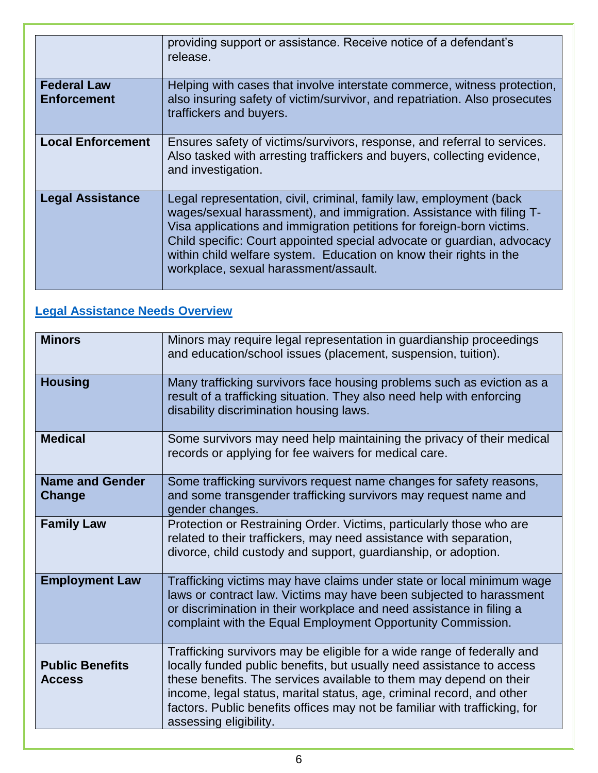|                                          | providing support or assistance. Receive notice of a defendant's<br>release.                                                                                                                                                                                                                                                                                                                                  |
|------------------------------------------|---------------------------------------------------------------------------------------------------------------------------------------------------------------------------------------------------------------------------------------------------------------------------------------------------------------------------------------------------------------------------------------------------------------|
| <b>Federal Law</b><br><b>Enforcement</b> | Helping with cases that involve interstate commerce, witness protection,<br>also insuring safety of victim/survivor, and repatriation. Also prosecutes<br>traffickers and buyers.                                                                                                                                                                                                                             |
| <b>Local Enforcement</b>                 | Ensures safety of victims/survivors, response, and referral to services.<br>Also tasked with arresting traffickers and buyers, collecting evidence,<br>and investigation.                                                                                                                                                                                                                                     |
| <b>Legal Assistance</b>                  | Legal representation, civil, criminal, family law, employment (back<br>wages/sexual harassment), and immigration. Assistance with filing T-<br>Visa applications and immigration petitions for foreign-born victims.<br>Child specific: Court appointed special advocate or guardian, advocacy<br>within child welfare system. Education on know their rights in the<br>workplace, sexual harassment/assault. |

### **[Legal Assistance Needs Overview](https://www.ovcttac.gov/taskforceguide/eguide/4-supporting-victims/44-comprehensive-victim-services/legal-needs/)**

| <b>Minors</b>                           | Minors may require legal representation in guardianship proceedings<br>and education/school issues (placement, suspension, tuition).                                                                                                                                                                                                                                                                    |
|-----------------------------------------|---------------------------------------------------------------------------------------------------------------------------------------------------------------------------------------------------------------------------------------------------------------------------------------------------------------------------------------------------------------------------------------------------------|
| <b>Housing</b>                          | Many trafficking survivors face housing problems such as eviction as a<br>result of a trafficking situation. They also need help with enforcing<br>disability discrimination housing laws.                                                                                                                                                                                                              |
| <b>Medical</b>                          | Some survivors may need help maintaining the privacy of their medical<br>records or applying for fee waivers for medical care.                                                                                                                                                                                                                                                                          |
| <b>Name and Gender</b><br>Change        | Some trafficking survivors request name changes for safety reasons,<br>and some transgender trafficking survivors may request name and<br>gender changes.                                                                                                                                                                                                                                               |
| <b>Family Law</b>                       | Protection or Restraining Order. Victims, particularly those who are<br>related to their traffickers, may need assistance with separation,<br>divorce, child custody and support, guardianship, or adoption.                                                                                                                                                                                            |
| <b>Employment Law</b>                   | Trafficking victims may have claims under state or local minimum wage<br>laws or contract law. Victims may have been subjected to harassment<br>or discrimination in their workplace and need assistance in filing a<br>complaint with the Equal Employment Opportunity Commission.                                                                                                                     |
| <b>Public Benefits</b><br><b>Access</b> | Trafficking survivors may be eligible for a wide range of federally and<br>locally funded public benefits, but usually need assistance to access<br>these benefits. The services available to them may depend on their<br>income, legal status, marital status, age, criminal record, and other<br>factors. Public benefits offices may not be familiar with trafficking, for<br>assessing eligibility. |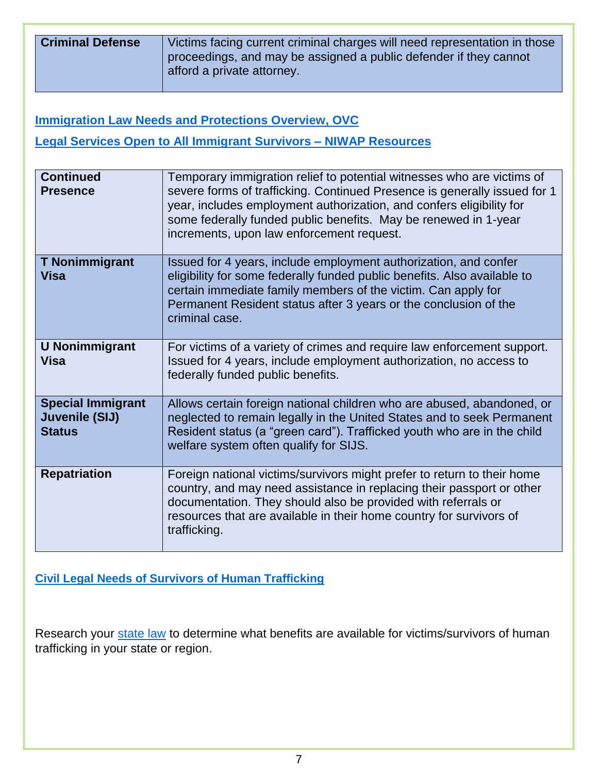| <b>Criminal Defense</b> | Victims facing current criminal charges will need representation in those<br>proceedings, and may be assigned a public defender if they cannot |
|-------------------------|------------------------------------------------------------------------------------------------------------------------------------------------|
|                         | afford a private attorney.                                                                                                                     |

**Immigration Law Needs and Protections Overview, OVC** 

**Legal Services Open to All Immigrant Survivors – NIWAP Resources** 

| <b>Continued</b><br><b>Presence</b>                         | Temporary immigration relief to potential witnesses who are victims of<br>severe forms of trafficking. Continued Presence is generally issued for 1<br>year, includes employment authorization, and confers eligibility for<br>some federally funded public benefits. May be renewed in 1-year<br>increments, upon law enforcement request. |
|-------------------------------------------------------------|---------------------------------------------------------------------------------------------------------------------------------------------------------------------------------------------------------------------------------------------------------------------------------------------------------------------------------------------|
| <b>T Nonimmigrant</b><br><b>Visa</b>                        | Issued for 4 years, include employment authorization, and confer<br>eligibility for some federally funded public benefits. Also available to<br>certain immediate family members of the victim. Can apply for<br>Permanent Resident status after 3 years or the conclusion of the<br>criminal case.                                         |
| <b>U Nonimmigrant</b><br><b>Visa</b>                        | For victims of a variety of crimes and require law enforcement support.<br>Issued for 4 years, include employment authorization, no access to<br>federally funded public benefits.                                                                                                                                                          |
| <b>Special Immigrant</b><br>Juvenile (SIJ)<br><b>Status</b> | Allows certain foreign national children who are abused, abandoned, or<br>neglected to remain legally in the United States and to seek Permanent<br>Resident status (a "green card"). Trafficked youth who are in the child<br>welfare system often qualify for SIJS.                                                                       |
| <b>Repatriation</b>                                         | Foreign national victims/survivors might prefer to return to their home<br>country, and may need assistance in replacing their passport or other<br>documentation. They should also be provided with referrals or<br>resources that are available in their home country for survivors of<br>trafficking.                                    |

**[Civil Legal Needs of Survivors of Human Trafficking](https://www.ovcttac.gov/taskforceguide/eguide/4-supporting-victims/44-comprehensive-victim-services/legal-needs/civil-legal-needs/)**

Research your [state law](https://www.ncsl.org/default.aspx?tabid=29867) to determine what benefits are available for victims/survivors of human trafficking in your state or region.